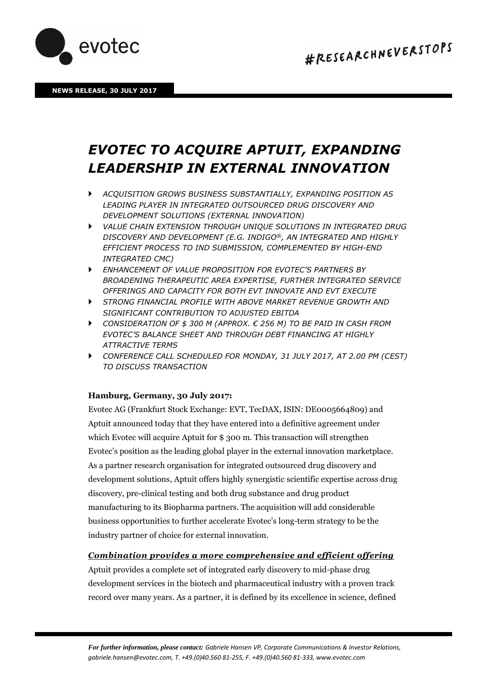

# *EVOTEC TO ACQUIRE APTUIT, EXPANDING LEADERSHIP IN EXTERNAL INNOVATION*

- *ACQUISITION GROWS BUSINESS SUBSTANTIALLY, EXPANDING POSITION AS LEADING PLAYER IN INTEGRATED OUTSOURCED DRUG DISCOVERY AND DEVELOPMENT SOLUTIONS (EXTERNAL INNOVATION)*
- *VALUE CHAIN EXTENSION THROUGH UNIQUE SOLUTIONS IN INTEGRATED DRUG DISCOVERY AND DEVELOPMENT (E.G. INDIGO®, AN INTEGRATED AND HIGHLY EFFICIENT PROCESS TO IND SUBMISSION, COMPLEMENTED BY HIGH-END INTEGRATED CMC)*
- *ENHANCEMENT OF VALUE PROPOSITION FOR EVOTEC'S PARTNERS BY BROADENING THERAPEUTIC AREA EXPERTISE, FURTHER INTEGRATED SERVICE OFFERINGS AND CAPACITY FOR BOTH EVT INNOVATE AND EVT EXECUTE*
- *STRONG FINANCIAL PROFILE WITH ABOVE MARKET REVENUE GROWTH AND SIGNIFICANT CONTRIBUTION TO ADJUSTED EBITDA*
- *CONSIDERATION OF \$ 300 M (APPROX. € 256 M) TO BE PAID IN CASH FROM EVOTEC'S BALANCE SHEET AND THROUGH DEBT FINANCING AT HIGHLY ATTRACTIVE TERMS*
- *CONFERENCE CALL SCHEDULED FOR MONDAY, 31 JULY 2017, AT 2.00 PM (CEST) TO DISCUSS TRANSACTION*

# **Hamburg, Germany, 30 July 2017:**

Evotec AG (Frankfurt Stock Exchange: EVT, TecDAX, ISIN: DE0005664809) and Aptuit announced today that they have entered into a definitive agreement under which Evotec will acquire Aptuit for \$300 m. This transaction will strengthen Evotec's position as the leading global player in the external innovation marketplace. As a partner research organisation for integrated outsourced drug discovery and development solutions, Aptuit offers highly synergistic scientific expertise across drug discovery, pre-clinical testing and both drug substance and drug product manufacturing to its Biopharma partners. The acquisition will add considerable business opportunities to further accelerate Evotec's long-term strategy to be the industry partner of choice for external innovation.

# *Combination provides a more comprehensive and efficient offering*

Aptuit provides a complete set of integrated early discovery to mid-phase drug development services in the biotech and pharmaceutical industry with a proven track record over many years. As a partner, it is defined by its excellence in science, defined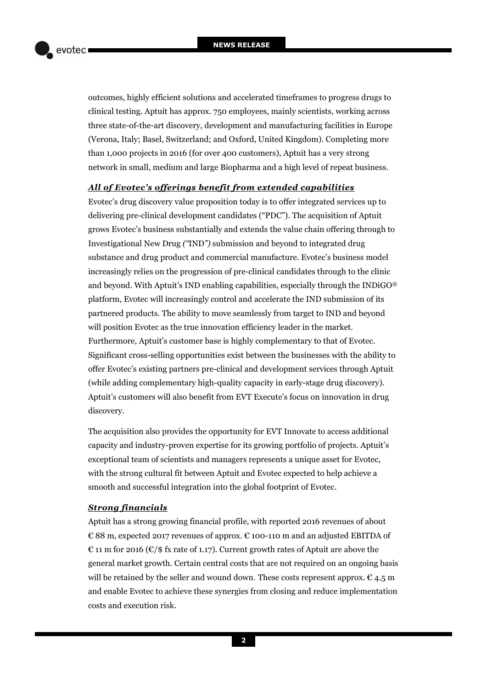outcomes, highly efficient solutions and accelerated timeframes to progress drugs to clinical testing. Aptuit has approx. 750 employees, mainly scientists, working across three state-of-the-art discovery, development and manufacturing facilities in Europe (Verona, Italy; Basel, Switzerland; and Oxford, United Kingdom). Completing more than 1,000 projects in 2016 (for over 400 customers), Aptuit has a very strong network in small, medium and large Biopharma and a high level of repeat business.

### *All of Evotec's offerings benefit from extended capabilities*

Evotec's drug discovery value proposition today is to offer integrated services up to delivering pre-clinical development candidates ("PDC"). The acquisition of Aptuit grows Evotec's business substantially and extends the value chain offering through to Investigational New Drug *("*IND*")* submission and beyond to integrated drug substance and drug product and commercial manufacture. Evotec's business model increasingly relies on the progression of pre-clinical candidates through to the clinic and beyond. With Aptuit's IND enabling capabilities, especially through the INDiGO® platform, Evotec will increasingly control and accelerate the IND submission of its partnered products. The ability to move seamlessly from target to IND and beyond will position Evotec as the true innovation efficiency leader in the market. Furthermore, Aptuit's customer base is highly complementary to that of Evotec. Significant cross-selling opportunities exist between the businesses with the ability to offer Evotec's existing partners pre-clinical and development services through Aptuit (while adding complementary high-quality capacity in early-stage drug discovery). Aptuit's customers will also benefit from EVT Execute's focus on innovation in drug discovery.

The acquisition also provides the opportunity for EVT Innovate to access additional capacity and industry-proven expertise for its growing portfolio of projects. Aptuit's exceptional team of scientists and managers represents a unique asset for Evotec, with the strong cultural fit between Aptuit and Evotec expected to help achieve a smooth and successful integration into the global footprint of Evotec.

## *Strong financials*

Aptuit has a strong growing financial profile, with reported 2016 revenues of about € 88 m, expected 2017 revenues of approx. € 100-110 m and an adjusted EBITDA of € 11 m for 2016 (€/\$ fx rate of 1.17). Current growth rates of Aptuit are above the general market growth. Certain central costs that are not required on an ongoing basis will be retained by the seller and wound down. These costs represent approx.  $\epsilon$  4.5 m and enable Evotec to achieve these synergies from closing and reduce implementation costs and execution risk.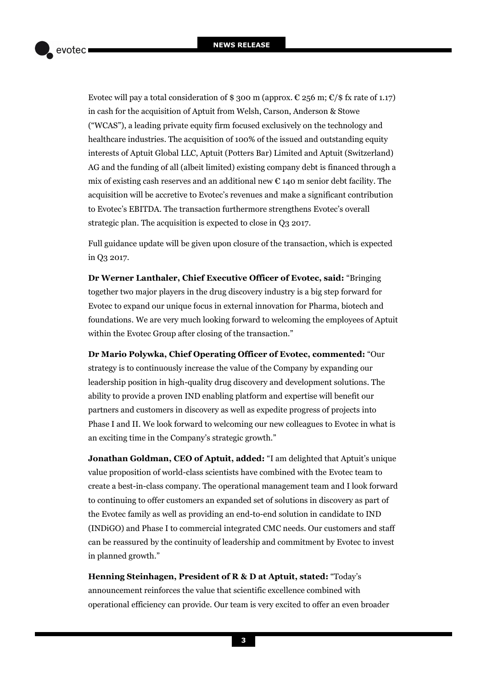Evotec will pay a total consideration of \$ 300 m (approx.  $\epsilon$  256 m;  $\epsilon$ /\$ fx rate of 1.17) in cash for the acquisition of Aptuit from Welsh, Carson, Anderson & Stowe ("WCAS"), a leading private equity firm focused exclusively on the technology and healthcare industries. The acquisition of 100% of the issued and outstanding equity interests of Aptuit Global LLC, Aptuit (Potters Bar) Limited and Aptuit (Switzerland) AG and the funding of all (albeit limited) existing company debt is financed through a mix of existing cash reserves and an additional new  $\epsilon$  140 m senior debt facility. The acquisition will be accretive to Evotec's revenues and make a significant contribution to Evotec's EBITDA. The transaction furthermore strengthens Evotec's overall strategic plan. The acquisition is expected to close in Q3 2017.

Full guidance update will be given upon closure of the transaction, which is expected in Q3 2017.

**Dr Werner Lanthaler, Chief Executive Officer of Evotec, said:** "Bringing together two major players in the drug discovery industry is a big step forward for Evotec to expand our unique focus in external innovation for Pharma, biotech and foundations. We are very much looking forward to welcoming the employees of Aptuit within the Evotec Group after closing of the transaction."

**Dr Mario Polywka, Chief Operating Officer of Evotec, commented:** "Our strategy is to continuously increase the value of the Company by expanding our leadership position in high-quality drug discovery and development solutions. The ability to provide a proven IND enabling platform and expertise will benefit our partners and customers in discovery as well as expedite progress of projects into Phase I and II. We look forward to welcoming our new colleagues to Evotec in what is an exciting time in the Company's strategic growth."

**Jonathan Goldman, CEO of Aptuit, added:** "I am delighted that Aptuit's unique value proposition of world-class scientists have combined with the Evotec team to create a best-in-class company. The operational management team and I look forward to continuing to offer customers an expanded set of solutions in discovery as part of the Evotec family as well as providing an end-to-end solution in candidate to IND (INDiGO) and Phase I to commercial integrated CMC needs. Our customers and staff can be reassured by the continuity of leadership and commitment by Evotec to invest in planned growth."

**Henning Steinhagen, President of R & D at Aptuit, stated:** "Today's announcement reinforces the value that scientific excellence combined with operational efficiency can provide. Our team is very excited to offer an even broader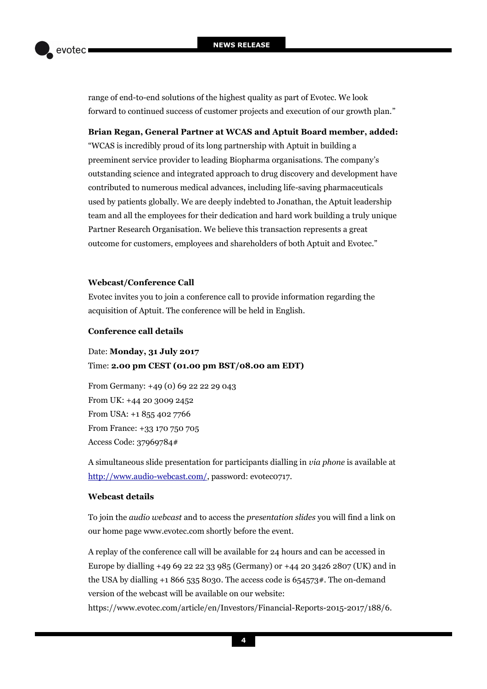range of end-to-end solutions of the highest quality as part of Evotec. We look forward to continued success of customer projects and execution of our growth plan."

## **Brian Regan, General Partner at WCAS and Aptuit Board member, added:**

"WCAS is incredibly proud of its long partnership with Aptuit in building a preeminent service provider to leading Biopharma organisations. The company's outstanding science and integrated approach to drug discovery and development have contributed to numerous medical advances, including life-saving pharmaceuticals used by patients globally. We are deeply indebted to Jonathan, the Aptuit leadership team and all the employees for their dedication and hard work building a truly unique Partner Research Organisation. We believe this transaction represents a great outcome for customers, employees and shareholders of both Aptuit and Evotec."

## **Webcast/Conference Call**

Evotec invites you to join a conference call to provide information regarding the acquisition of Aptuit. The conference will be held in English.

## **Conference call details**

Date: **Monday, 31 July 2017** Time: **2.00 pm CEST (01.00 pm BST/08.00 am EDT)**

From Germany: +49 (0) 69 22 22 29 043 From UK: +44 20 3009 2452 From USA: +1 855 402 7766 From France: +33 170 750 705 Access Code: 37969784#

A simultaneous slide presentation for participants dialling in *via phone* is available at [http://www.audio-webcast.com/,](http://www.audio-webcast.com/cgi-bin/visitors.ssp?fn=visitor&id=4859) password: evotec0717.

# **Webcast details**

To join the *audio webcast* and to access the *presentation slides* you will find a link on our home page www.evotec.com shortly before the event.

A replay of the conference call will be available for 24 hours and can be accessed in Europe by dialling +49 69 22 22 33 985 (Germany) or +44 20 3426 2807 (UK) and in the USA by dialling  $+18665358030$ . The access code is  $654573$ #. The on-demand version of the webcast will be available on our website:

[https://www.evotec.com/article/en/Investors/Financial-Reports-2015-2017/188/6.](https://www.evotec.com/article/en/Investors/Financial-Reports-2015-2017/188/6)